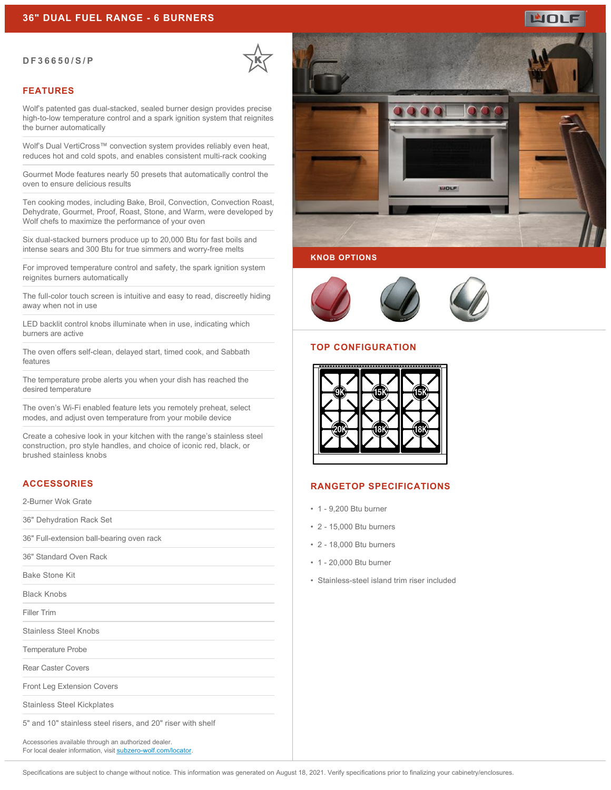#### **DF36650/S/P**

### **FEATURES**

Wolf's patented gas dual-stacked, sealed burner design provides precise high-to-low temperature control and a spark ignition system that reignites the burner automatically

Wolf's Dual VertiCross™ convection system provides reliably even heat, reduces hot and cold spots, and enables consistent multi-rack cooking

Gourmet Mode features nearly 50 presets that automatically control the oven to ensure delicious results

Ten cooking modes, including Bake, Broil, Convection, Convection Roast, Dehydrate, Gourmet, Proof, Roast, Stone, and Warm, were developed by Wolf chefs to maximize the performance of your oven

Six dual-stacked burners produce up to 20,000 Btu for fast boils and intense sears and 300 Btu for true simmers and worry-free melts

For improved temperature control and safety, the spark ignition system reignites burners automatically

The full-color touch screen is intuitive and easy to read, discreetly hiding away when not in use

LED backlit control knobs illuminate when in use, indicating which burners are active

The oven offers self-clean, delayed start, timed cook, and Sabbath features

The temperature probe alerts you when your dish has reached the desired temperature

The oven's Wi-Fi enabled feature lets you remotely preheat, select modes, and adjust oven temperature from your mobile device

Create a cohesive look in your kitchen with the range's stainless steel construction, pro style handles, and choice of iconic red, black, or brushed stainless knobs

# **ACCESSORIES**

2-Burner Wok Grate

36" Dehydration Rack Set

36" Full-extension ball-bearing oven rack

36" Standard Oven Rack

Bake Stone Kit

Black Knobs

Filler Trim

Stainless Steel Knobs

Temperature Probe

Rear Caster Covers

Front Leg Extension Covers

Stainless Steel Kickplates

5" and 10" stainless steel risers, and 20" riser with shelf

Accessories available through an authorized dealer. For local dealer information, visit [subzero-wolf.com/locator.](http://www.subzero-wolf.com/locator)



WOLF

#### **KNOB OPTIONS**



#### **TOP CONFIGURATION**



## **RANGETOP SPECIFICATIONS**

- 1 9,200 Btu burner
- 2 15,000 Btu burners
- 2 18,000 Btu burners
- 1 20,000 Btu burner
- Stainless-steel island trim riser included